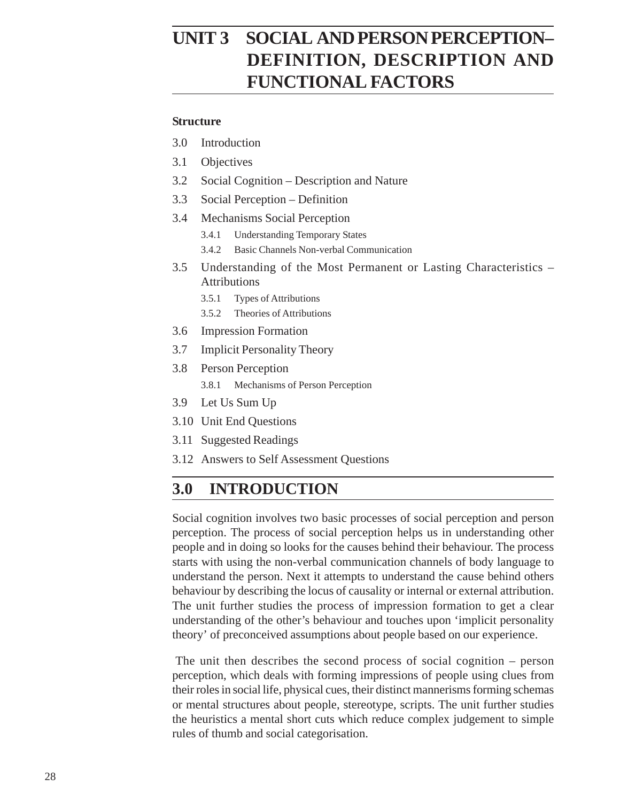# **PSYCHOLOGYPERSON PERCEPTION– DEFINITION, DESCRIPTION AND FUNCTIONAL FACTORS**

#### **Structure**

- 3.0 Introduction
- 3.1 Objectives
- 3.2 Social Cognition Description and Nature
- 3.3 Social Perception Definition
- 3.4 Mechanisms Social Perception
	- 3.4.1 Understanding Temporary States
	- 3.4.2 Basic Channels Non-verbal Communication
- 3.5 Understanding of the Most Permanent or Lasting Characteristics Attributions
	- 3.5.1 Types of Attributions
	- 3.5.2 Theories of Attributions
- 3.6 Impression Formation
- 3.7 Implicit Personality Theory
- 3.8 Person Perception
	- 3.8.1 Mechanisms of Person Perception
- 3.9 Let Us Sum Up
- 3.10 Unit End Questions
- 3.11 Suggested Readings
- 3.12 Answers to Self Assessment Questions

## **3.0 INTRODUCTION**

Social cognition involves two basic processes of social perception and person perception. The process of social perception helps us in understanding other people and in doing so looks for the causes behind their behaviour. The process starts with using the non-verbal communication channels of body language to understand the person. Next it attempts to understand the cause behind others behaviour by describing the locus of causality or internal or external attribution. The unit further studies the process of impression formation to get a clear understanding of the other's behaviour and touches upon 'implicit personality theory' of preconceived assumptions about people based on our experience.

 The unit then describes the second process of social cognition – person perception, which deals with forming impressions of people using clues from their roles in social life, physical cues, their distinct mannerisms forming schemas or mental structures about people, stereotype, scripts. The unit further studies the heuristics a mental short cuts which reduce complex judgement to simple rules of thumb and social categorisation.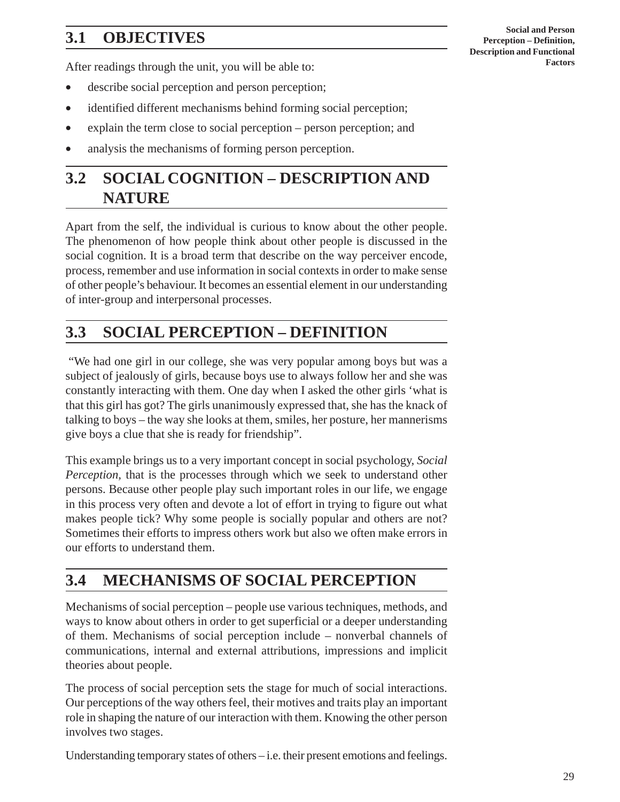# **3.1 OBJECTIVES**

**Social and Person Perception – Definition, Description and Functional Factors**

After readings through the unit, you will be able to:

- describe social perception and person perception;
- identified different mechanisms behind forming social perception;
- explain the term close to social perception person perception; and
- analysis the mechanisms of forming person perception.

# **3.2 SOCIAL COGNITION – DESCRIPTION AND NATURE**

Apart from the self, the individual is curious to know about the other people. The phenomenon of how people think about other people is discussed in the social cognition. It is a broad term that describe on the way perceiver encode, process, remember and use information in social contexts in order to make sense of other people's behaviour. It becomes an essential element in our understanding of inter-group and interpersonal processes.

## **3.3 SOCIAL PERCEPTION – DEFINITION**

 "We had one girl in our college, she was very popular among boys but was a subject of jealously of girls, because boys use to always follow her and she was constantly interacting with them. One day when I asked the other girls 'what is that this girl has got? The girls unanimously expressed that, she has the knack of talking to boys – the way she looks at them, smiles, her posture, her mannerisms give boys a clue that she is ready for friendship".

This example brings us to a very important concept in social psychology, *Social Perception,* that is the processes through which we seek to understand other persons. Because other people play such important roles in our life, we engage in this process very often and devote a lot of effort in trying to figure out what makes people tick? Why some people is socially popular and others are not? Sometimes their efforts to impress others work but also we often make errors in our efforts to understand them.

## **3.4 MECHANISMS OF SOCIAL PERCEPTION**

Mechanisms of social perception – people use various techniques, methods, and ways to know about others in order to get superficial or a deeper understanding of them. Mechanisms of social perception include – nonverbal channels of communications, internal and external attributions, impressions and implicit theories about people.

The process of social perception sets the stage for much of social interactions. Our perceptions of the way others feel, their motives and traits play an important role in shaping the nature of our interaction with them. Knowing the other person involves two stages.

Understanding temporary states of others – i.e. their present emotions and feelings.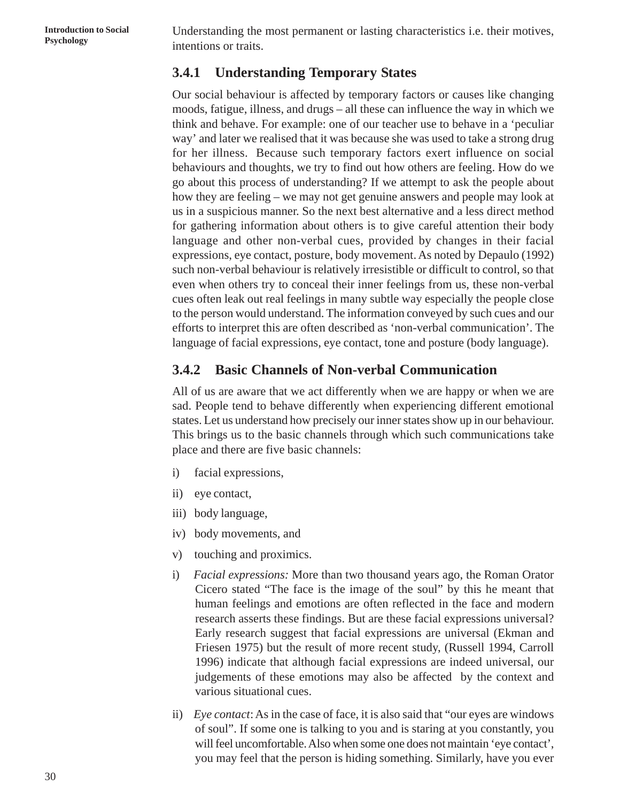**Psychology** Understanding the most permanent or lasting characteristics i.e. their motives, **Psychology** intentions or traits.

### **3.4.1 Understanding Temporary States**

Our social behaviour is affected by temporary factors or causes like changing moods, fatigue, illness, and drugs – all these can influence the way in which we think and behave. For example: one of our teacher use to behave in a 'peculiar way' and later we realised that it was because she was used to take a strong drug for her illness. Because such temporary factors exert influence on social behaviours and thoughts, we try to find out how others are feeling. How do we go about this process of understanding? If we attempt to ask the people about how they are feeling – we may not get genuine answers and people may look at us in a suspicious manner. So the next best alternative and a less direct method for gathering information about others is to give careful attention their body language and other non-verbal cues, provided by changes in their facial expressions, eye contact, posture, body movement. As noted by Depaulo (1992) such non-verbal behaviour is relatively irresistible or difficult to control, so that even when others try to conceal their inner feelings from us, these non-verbal cues often leak out real feelings in many subtle way especially the people close to the person would understand. The information conveyed by such cues and our efforts to interpret this are often described as 'non-verbal communication'. The language of facial expressions, eye contact, tone and posture (body language).

### **3.4.2 Basic Channels of Non-verbal Communication**

All of us are aware that we act differently when we are happy or when we are sad. People tend to behave differently when experiencing different emotional states. Let us understand how precisely our inner states show up in our behaviour. This brings us to the basic channels through which such communications take place and there are five basic channels:

- i) facial expressions,
- ii) eye contact,
- iii) body language,
- iv) body movements, and
- v) touching and proximics.
- i) *Facial expressions:* More than two thousand years ago, the Roman Orator Cicero stated "The face is the image of the soul" by this he meant that human feelings and emotions are often reflected in the face and modern research asserts these findings. But are these facial expressions universal? Early research suggest that facial expressions are universal (Ekman and Friesen 1975) but the result of more recent study, (Russell 1994, Carroll 1996) indicate that although facial expressions are indeed universal, our judgements of these emotions may also be affected by the context and various situational cues.
- ii) *Eye contact*: As in the case of face, it is also said that "our eyes are windows of soul". If some one is talking to you and is staring at you constantly, you will feel uncomfortable. Also when some one does not maintain 'eye contact', you may feel that the person is hiding something. Similarly, have you ever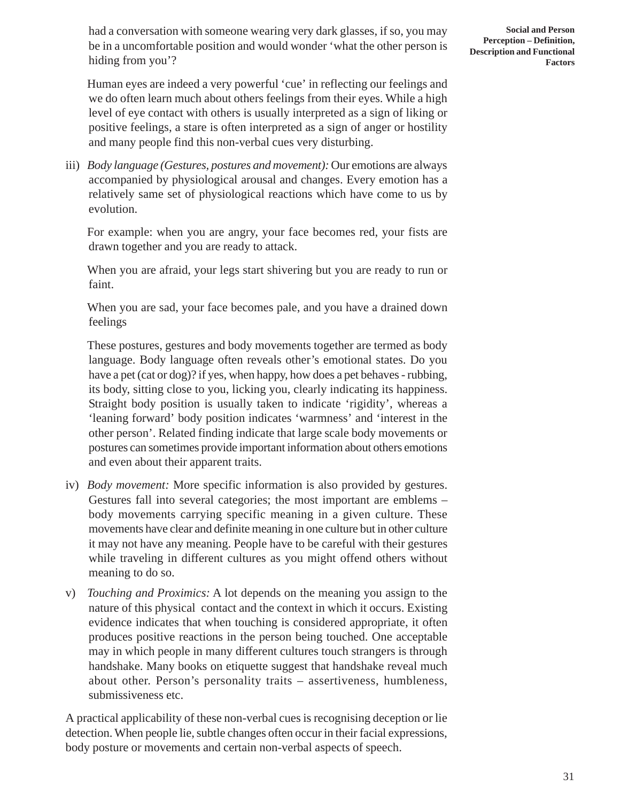had a conversation with someone wearing very dark glasses, if so, you may be in a uncomfortable position and would wonder 'what the other person is hiding from you'?

Human eyes are indeed a very powerful 'cue' in reflecting our feelings and we do often learn much about others feelings from their eyes. While a high level of eye contact with others is usually interpreted as a sign of liking or positive feelings, a stare is often interpreted as a sign of anger or hostility and many people find this non-verbal cues very disturbing.

iii) *Body language (Gestures, postures and movement):* Our emotions are always accompanied by physiological arousal and changes. Every emotion has a relatively same set of physiological reactions which have come to us by evolution.

For example: when you are angry, your face becomes red, your fists are drawn together and you are ready to attack.

When you are afraid, your legs start shivering but you are ready to run or faint.

When you are sad, your face becomes pale, and you have a drained down feelings

These postures, gestures and body movements together are termed as body language. Body language often reveals other's emotional states. Do you have a pet (cat or dog)? if yes, when happy, how does a pet behaves - rubbing, its body, sitting close to you, licking you, clearly indicating its happiness. Straight body position is usually taken to indicate 'rigidity', whereas a 'leaning forward' body position indicates 'warmness' and 'interest in the other person'. Related finding indicate that large scale body movements or postures can sometimes provide important information about others emotions and even about their apparent traits.

- iv) *Body movement:* More specific information is also provided by gestures. Gestures fall into several categories; the most important are emblems – body movements carrying specific meaning in a given culture. These movements have clear and definite meaning in one culture but in other culture it may not have any meaning. People have to be careful with their gestures while traveling in different cultures as you might offend others without meaning to do so.
- v) *Touching and Proximics:* A lot depends on the meaning you assign to the nature of this physical contact and the context in which it occurs. Existing evidence indicates that when touching is considered appropriate, it often produces positive reactions in the person being touched. One acceptable may in which people in many different cultures touch strangers is through handshake. Many books on etiquette suggest that handshake reveal much about other. Person's personality traits – assertiveness, humbleness, submissiveness etc.

A practical applicability of these non-verbal cues is recognising deception or lie detection. When people lie, subtle changes often occur in their facial expressions, body posture or movements and certain non-verbal aspects of speech.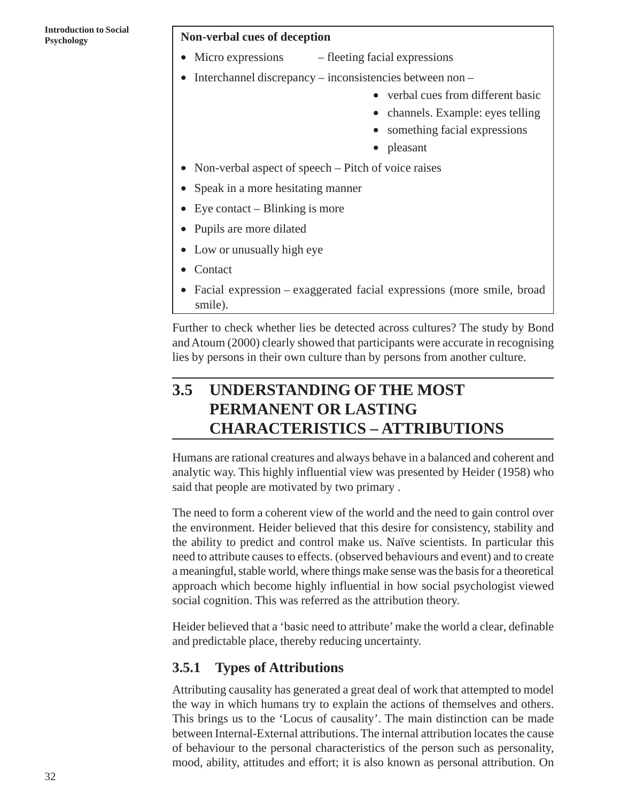### **Psychology Non-verbal cues of deception**

- Micro expressions fleeting facial expressions
- Interchannel discrepancy inconsistencies between non
	- verbal cues from different basic
	- channels. Example: eyes telling
	- something facial expressions
	- pleasant
- Non-verbal aspect of speech Pitch of voice raises
- Speak in a more hesitating manner
- Eye contact Blinking is more
- Pupils are more dilated
- Low or unusually high eye
- Contact
- Facial expression exaggerated facial expressions (more smile, broad smile).

Further to check whether lies be detected across cultures? The study by Bond and Atoum (2000) clearly showed that participants were accurate in recognising lies by persons in their own culture than by persons from another culture.

# **3.5 UNDERSTANDING OF THE MOST PERMANENT OR LASTING CHARACTERISTICS – ATTRIBUTIONS**

Humans are rational creatures and always behave in a balanced and coherent and analytic way. This highly influential view was presented by Heider (1958) who said that people are motivated by two primary .

The need to form a coherent view of the world and the need to gain control over the environment. Heider believed that this desire for consistency, stability and the ability to predict and control make us. Naïve scientists. In particular this need to attribute causes to effects. (observed behaviours and event) and to create a meaningful, stable world, where things make sense was the basis for a theoretical approach which become highly influential in how social psychologist viewed social cognition. This was referred as the attribution theory.

Heider believed that a 'basic need to attribute' make the world a clear, definable and predictable place, thereby reducing uncertainty.

### **3.5.1 Types of Attributions**

Attributing causality has generated a great deal of work that attempted to model the way in which humans try to explain the actions of themselves and others. This brings us to the 'Locus of causality'. The main distinction can be made between Internal-External attributions. The internal attribution locates the cause of behaviour to the personal characteristics of the person such as personality, mood, ability, attitudes and effort; it is also known as personal attribution. On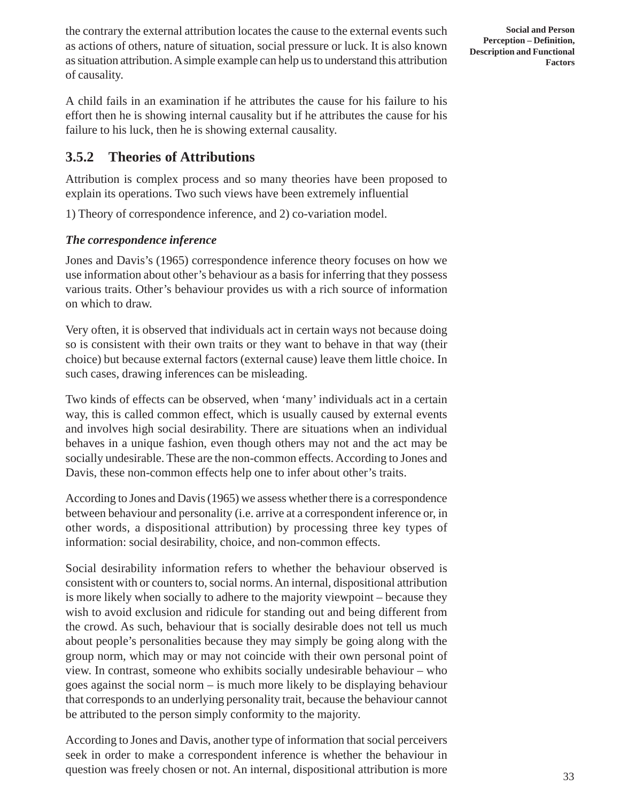the contrary the external attribution locates the cause to the external events such as actions of others, nature of situation, social pressure or luck. It is also known as situation attribution. A simple example can help us to understand this attribution of causality.

A child fails in an examination if he attributes the cause for his failure to his effort then he is showing internal causality but if he attributes the cause for his failure to his luck, then he is showing external causality.

### **3.5.2 Theories of Attributions**

Attribution is complex process and so many theories have been proposed to explain its operations. Two such views have been extremely influential

1) Theory of correspondence inference, and 2) co-variation model.

### *The correspondence inference*

Jones and Davis's (1965) correspondence inference theory focuses on how we use information about other's behaviour as a basis for inferring that they possess various traits. Other's behaviour provides us with a rich source of information on which to draw.

Very often, it is observed that individuals act in certain ways not because doing so is consistent with their own traits or they want to behave in that way (their choice) but because external factors (external cause) leave them little choice. In such cases, drawing inferences can be misleading.

Two kinds of effects can be observed, when 'many' individuals act in a certain way, this is called common effect, which is usually caused by external events and involves high social desirability. There are situations when an individual behaves in a unique fashion, even though others may not and the act may be socially undesirable. These are the non-common effects. According to Jones and Davis, these non-common effects help one to infer about other's traits.

According to Jones and Davis (1965) we assess whether there is a correspondence between behaviour and personality (i.e. arrive at a correspondent inference or, in other words, a dispositional attribution) by processing three key types of information: social desirability, choice, and non-common effects.

Social desirability information refers to whether the behaviour observed is consistent with or counters to, social norms. An internal, dispositional attribution is more likely when socially to adhere to the majority viewpoint – because they wish to avoid exclusion and ridicule for standing out and being different from the crowd. As such, behaviour that is socially desirable does not tell us much about people's personalities because they may simply be going along with the group norm, which may or may not coincide with their own personal point of view. In contrast, someone who exhibits socially undesirable behaviour – who goes against the social norm – is much more likely to be displaying behaviour that corresponds to an underlying personality trait, because the behaviour cannot be attributed to the person simply conformity to the majority.

According to Jones and Davis, another type of information that social perceivers seek in order to make a correspondent inference is whether the behaviour in question was freely chosen or not. An internal, dispositional attribution is more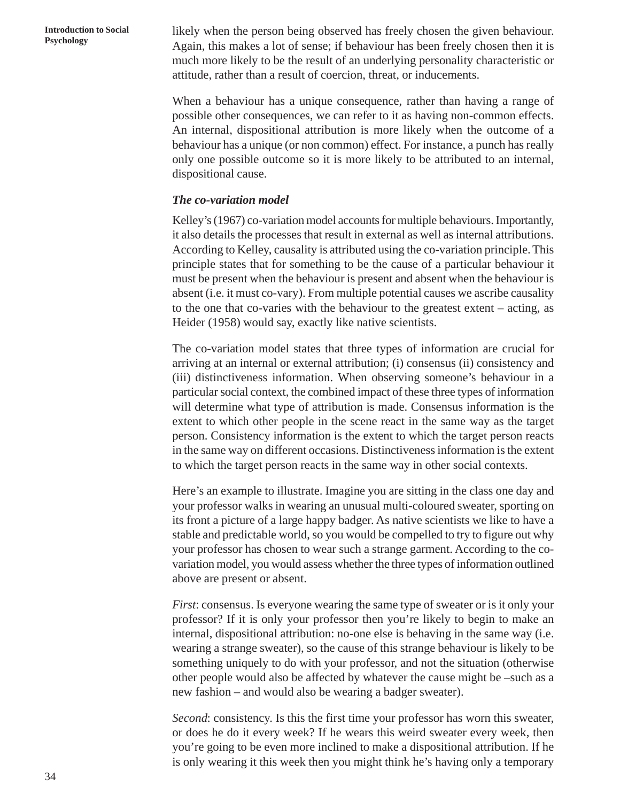**Psychology** likely when the person being observed has freely chosen the given behaviour.<br>**Psychology** A gain, this makes a lot of sansai if behaviour has been freely chosen than it is Again, this makes a lot of sense; if behaviour has been freely chosen then it is much more likely to be the result of an underlying personality characteristic or attitude, rather than a result of coercion, threat, or inducements.

> When a behaviour has a unique consequence, rather than having a range of possible other consequences, we can refer to it as having non-common effects. An internal, dispositional attribution is more likely when the outcome of a behaviour has a unique (or non common) effect. For instance, a punch has really only one possible outcome so it is more likely to be attributed to an internal, dispositional cause.

#### *The co-variation model*

Kelley's (1967) co-variation model accounts for multiple behaviours. Importantly, it also details the processes that result in external as well as internal attributions. According to Kelley, causality is attributed using the co-variation principle. This principle states that for something to be the cause of a particular behaviour it must be present when the behaviour is present and absent when the behaviour is absent (i.e. it must co-vary). From multiple potential causes we ascribe causality to the one that co-varies with the behaviour to the greatest extent – acting, as Heider (1958) would say, exactly like native scientists.

The co-variation model states that three types of information are crucial for arriving at an internal or external attribution; (i) consensus (ii) consistency and (iii) distinctiveness information. When observing someone's behaviour in a particular social context, the combined impact of these three types of information will determine what type of attribution is made. Consensus information is the extent to which other people in the scene react in the same way as the target person. Consistency information is the extent to which the target person reacts in the same way on different occasions. Distinctiveness information is the extent to which the target person reacts in the same way in other social contexts.

Here's an example to illustrate. Imagine you are sitting in the class one day and your professor walks in wearing an unusual multi-coloured sweater, sporting on its front a picture of a large happy badger. As native scientists we like to have a stable and predictable world, so you would be compelled to try to figure out why your professor has chosen to wear such a strange garment. According to the covariation model, you would assess whether the three types of information outlined above are present or absent.

*First*: consensus. Is everyone wearing the same type of sweater or is it only your professor? If it is only your professor then you're likely to begin to make an internal, dispositional attribution: no-one else is behaving in the same way (i.e. wearing a strange sweater), so the cause of this strange behaviour is likely to be something uniquely to do with your professor, and not the situation (otherwise other people would also be affected by whatever the cause might be –such as a new fashion – and would also be wearing a badger sweater).

*Second*: consistency. Is this the first time your professor has worn this sweater, or does he do it every week? If he wears this weird sweater every week, then you're going to be even more inclined to make a dispositional attribution. If he is only wearing it this week then you might think he's having only a temporary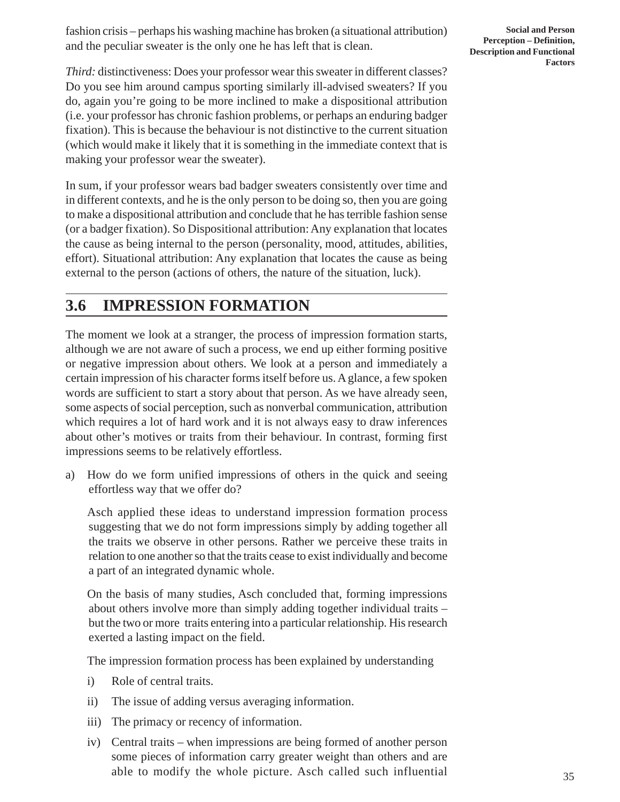fashion crisis – perhaps his washing machine has broken (a situational attribution) and the peculiar sweater is the only one he has left that is clean.

**Social and Person Perception – Definition, Description and Functional Factors**

*Third:* distinctiveness: Does your professor wear this sweater in different classes? Do you see him around campus sporting similarly ill-advised sweaters? If you do, again you're going to be more inclined to make a dispositional attribution (i.e. your professor has chronic fashion problems, or perhaps an enduring badger fixation). This is because the behaviour is not distinctive to the current situation (which would make it likely that it is something in the immediate context that is making your professor wear the sweater).

In sum, if your professor wears bad badger sweaters consistently over time and in different contexts, and he is the only person to be doing so, then you are going to make a dispositional attribution and conclude that he has terrible fashion sense (or a badger fixation). So Dispositional attribution: Any explanation that locates the cause as being internal to the person (personality, mood, attitudes, abilities, effort). Situational attribution: Any explanation that locates the cause as being external to the person (actions of others, the nature of the situation, luck).

# **3.6 IMPRESSION FORMATION**

The moment we look at a stranger, the process of impression formation starts, although we are not aware of such a process, we end up either forming positive or negative impression about others. We look at a person and immediately a certain impression of his character forms itself before us. A glance, a few spoken words are sufficient to start a story about that person. As we have already seen, some aspects of social perception, such as nonverbal communication, attribution which requires a lot of hard work and it is not always easy to draw inferences about other's motives or traits from their behaviour. In contrast, forming first impressions seems to be relatively effortless.

a) How do we form unified impressions of others in the quick and seeing effortless way that we offer do?

Asch applied these ideas to understand impression formation process suggesting that we do not form impressions simply by adding together all the traits we observe in other persons. Rather we perceive these traits in relation to one another so that the traits cease to exist individually and become a part of an integrated dynamic whole.

On the basis of many studies, Asch concluded that, forming impressions about others involve more than simply adding together individual traits – but the two or more traits entering into a particular relationship. His research exerted a lasting impact on the field.

The impression formation process has been explained by understanding

- i) Role of central traits.
- ii) The issue of adding versus averaging information.
- iii) The primacy or recency of information.
- iv) Central traits when impressions are being formed of another person some pieces of information carry greater weight than others and are able to modify the whole picture. Asch called such influential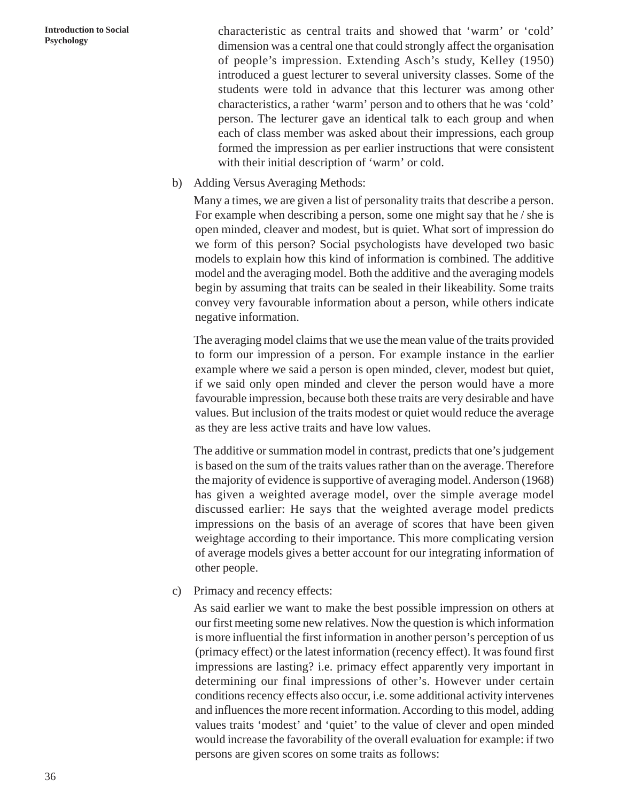**Introduction to Social Psychology**

characteristic as central traits and showed that 'warm' or 'cold' dimension was a central one that could strongly affect the organisation of people's impression. Extending Asch's study, Kelley (1950) introduced a guest lecturer to several university classes. Some of the students were told in advance that this lecturer was among other characteristics, a rather 'warm' person and to others that he was 'cold' person. The lecturer gave an identical talk to each group and when each of class member was asked about their impressions, each group formed the impression as per earlier instructions that were consistent with their initial description of 'warm' or cold.

b) Adding Versus Averaging Methods:

Many a times, we are given a list of personality traits that describe a person. For example when describing a person, some one might say that he / she is open minded, cleaver and modest, but is quiet. What sort of impression do we form of this person? Social psychologists have developed two basic models to explain how this kind of information is combined. The additive model and the averaging model. Both the additive and the averaging models begin by assuming that traits can be sealed in their likeability. Some traits convey very favourable information about a person, while others indicate negative information.

The averaging model claims that we use the mean value of the traits provided to form our impression of a person. For example instance in the earlier example where we said a person is open minded, clever, modest but quiet, if we said only open minded and clever the person would have a more favourable impression, because both these traits are very desirable and have values. But inclusion of the traits modest or quiet would reduce the average as they are less active traits and have low values.

The additive or summation model in contrast, predicts that one's judgement is based on the sum of the traits values rather than on the average. Therefore the majority of evidence is supportive of averaging model. Anderson (1968) has given a weighted average model, over the simple average model discussed earlier: He says that the weighted average model predicts impressions on the basis of an average of scores that have been given weightage according to their importance. This more complicating version of average models gives a better account for our integrating information of other people.

c) Primacy and recency effects:

As said earlier we want to make the best possible impression on others at our first meeting some new relatives. Now the question is which information is more influential the first information in another person's perception of us (primacy effect) or the latest information (recency effect). It was found first impressions are lasting? i.e. primacy effect apparently very important in determining our final impressions of other's. However under certain conditions recency effects also occur, i.e. some additional activity intervenes and influences the more recent information. According to this model, adding values traits 'modest' and 'quiet' to the value of clever and open minded would increase the favorability of the overall evaluation for example: if two persons are given scores on some traits as follows: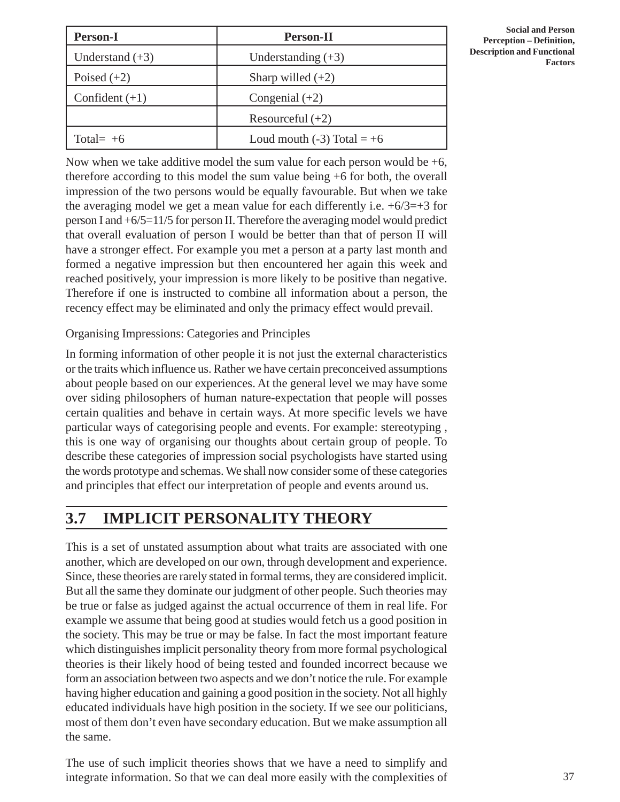| <b>Person-I</b>   | <b>Person-II</b>               |
|-------------------|--------------------------------|
| Understand $(+3)$ | Understanding $(+3)$           |
| Poised $(+2)$     | Sharp willed $(+2)$            |
| Confident $(+1)$  | Congenial $(+2)$               |
|                   | Resourceful $(+2)$             |
| Total= $+6$       | Loud mouth $(-3)$ Total = $+6$ |

**Social and Person Perception – Definition, Description and Functional Factors**

Now when we take additive model the sum value for each person would be  $+6$ , therefore according to this model the sum value being +6 for both, the overall impression of the two persons would be equally favourable. But when we take the averaging model we get a mean value for each differently i.e.  $+6/3=+3$  for person I and +6/5=11/5 for person II. Therefore the averaging model would predict that overall evaluation of person I would be better than that of person II will have a stronger effect. For example you met a person at a party last month and formed a negative impression but then encountered her again this week and reached positively, your impression is more likely to be positive than negative. Therefore if one is instructed to combine all information about a person, the recency effect may be eliminated and only the primacy effect would prevail.

#### Organising Impressions: Categories and Principles

In forming information of other people it is not just the external characteristics or the traits which influence us. Rather we have certain preconceived assumptions about people based on our experiences. At the general level we may have some over siding philosophers of human nature-expectation that people will posses certain qualities and behave in certain ways. At more specific levels we have particular ways of categorising people and events. For example: stereotyping , this is one way of organising our thoughts about certain group of people. To describe these categories of impression social psychologists have started using the words prototype and schemas. We shall now consider some of these categories and principles that effect our interpretation of people and events around us.

## **3.7 IMPLICIT PERSONALITY THEORY**

This is a set of unstated assumption about what traits are associated with one another, which are developed on our own, through development and experience. Since, these theories are rarely stated in formal terms, they are considered implicit. But all the same they dominate our judgment of other people. Such theories may be true or false as judged against the actual occurrence of them in real life. For example we assume that being good at studies would fetch us a good position in the society. This may be true or may be false. In fact the most important feature which distinguishes implicit personality theory from more formal psychological theories is their likely hood of being tested and founded incorrect because we form an association between two aspects and we don't notice the rule. For example having higher education and gaining a good position in the society. Not all highly educated individuals have high position in the society. If we see our politicians, most of them don't even have secondary education. But we make assumption all the same.

The use of such implicit theories shows that we have a need to simplify and integrate information. So that we can deal more easily with the complexities of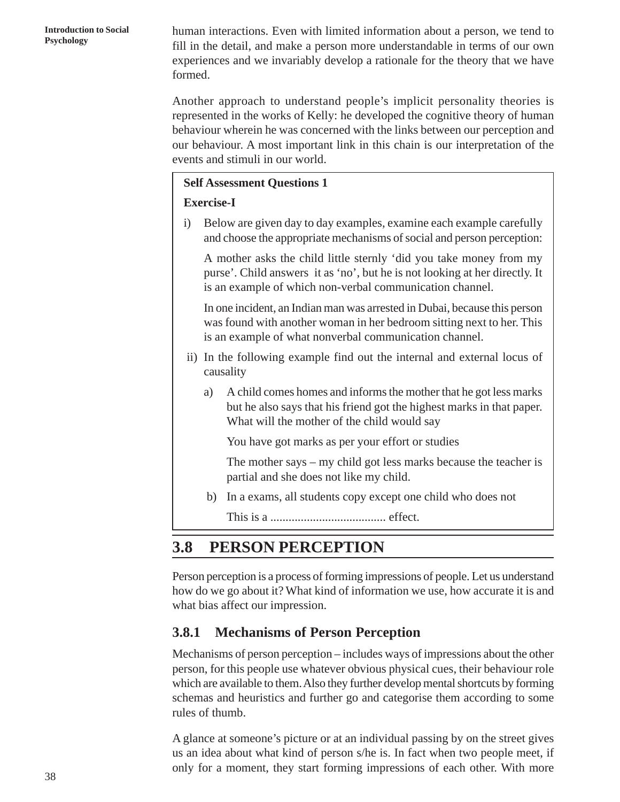**Production to Social** human interactions. Even with limited information about a person, we tend to product a person we can be detected and make a person more understandable in terms of our own fill in the detail, and make a person more understandable in terms of our own experiences and we invariably develop a rationale for the theory that we have formed.

> Another approach to understand people's implicit personality theories is represented in the works of Kelly: he developed the cognitive theory of human behaviour wherein he was concerned with the links between our perception and our behaviour. A most important link in this chain is our interpretation of the events and stimuli in our world.

### **Self Assessment Questions 1**

### **Exercise-I**

i) Below are given day to day examples, examine each example carefully and choose the appropriate mechanisms of social and person perception:

A mother asks the child little sternly 'did you take money from my purse'. Child answers it as 'no', but he is not looking at her directly. It is an example of which non-verbal communication channel.

In one incident, an Indian man was arrested in Dubai, because this person was found with another woman in her bedroom sitting next to her. This is an example of what nonverbal communication channel.

- ii) In the following example find out the internal and external locus of causality
	- a) A child comes homes and informs the mother that he got less marks but he also says that his friend got the highest marks in that paper. What will the mother of the child would say

You have got marks as per your effort or studies

The mother says – my child got less marks because the teacher is partial and she does not like my child.

b) In a exams, all students copy except one child who does not

This is a ...................................... effect.

## **3.8 PERSON PERCEPTION**

Person perception is a process of forming impressions of people. Let us understand how do we go about it? What kind of information we use, how accurate it is and what bias affect our impression.

### **3.8.1 Mechanisms of Person Perception**

Mechanisms of person perception – includes ways of impressions about the other person, for this people use whatever obvious physical cues, their behaviour role which are available to them. Also they further develop mental shortcuts by forming schemas and heuristics and further go and categorise them according to some rules of thumb.

A glance at someone's picture or at an individual passing by on the street gives us an idea about what kind of person s/he is. In fact when two people meet, if only for a moment, they start forming impressions of each other. With more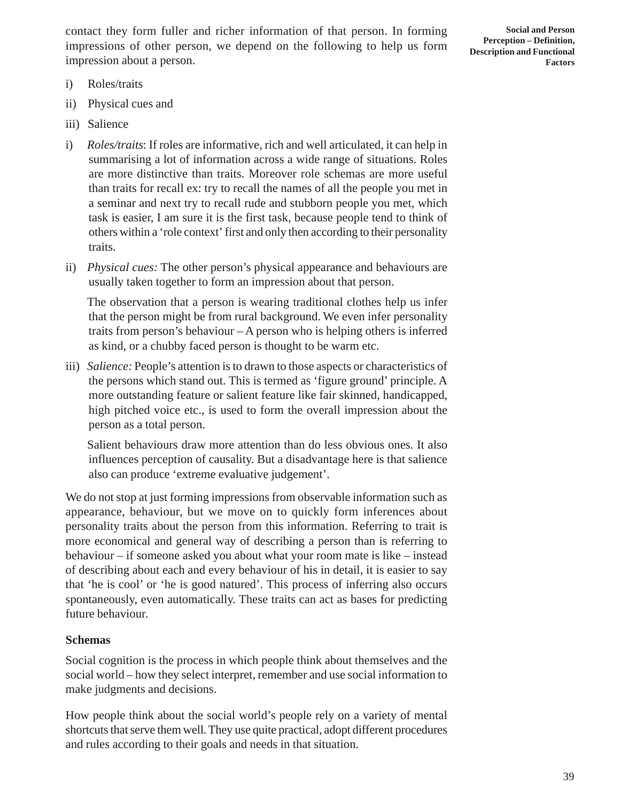contact they form fuller and richer information of that person. In forming impressions of other person, we depend on the following to help us form impression about a person.

**Social and Person Perception – Definition, Description and Functional Factors**

- i) Roles/traits
- ii) Physical cues and
- iii) Salience
- i) *Roles/traits*: If roles are informative, rich and well articulated, it can help in summarising a lot of information across a wide range of situations. Roles are more distinctive than traits. Moreover role schemas are more useful than traits for recall ex: try to recall the names of all the people you met in a seminar and next try to recall rude and stubborn people you met, which task is easier, I am sure it is the first task, because people tend to think of others within a 'role context' first and only then according to their personality traits.
- ii) *Physical cues:* The other person's physical appearance and behaviours are usually taken together to form an impression about that person.

The observation that a person is wearing traditional clothes help us infer that the person might be from rural background. We even infer personality traits from person's behaviour – A person who is helping others is inferred as kind, or a chubby faced person is thought to be warm etc.

iii) *Salience:* People's attention is to drawn to those aspects or characteristics of the persons which stand out. This is termed as 'figure ground' principle. A more outstanding feature or salient feature like fair skinned, handicapped, high pitched voice etc., is used to form the overall impression about the person as a total person.

Salient behaviours draw more attention than do less obvious ones. It also influences perception of causality. But a disadvantage here is that salience also can produce 'extreme evaluative judgement'.

We do not stop at just forming impressions from observable information such as appearance, behaviour, but we move on to quickly form inferences about personality traits about the person from this information. Referring to trait is more economical and general way of describing a person than is referring to behaviour – if someone asked you about what your room mate is like – instead of describing about each and every behaviour of his in detail, it is easier to say that 'he is cool' or 'he is good natured'. This process of inferring also occurs spontaneously, even automatically. These traits can act as bases for predicting future behaviour.

#### **Schemas**

Social cognition is the process in which people think about themselves and the social world – how they select interpret, remember and use social information to make judgments and decisions.

How people think about the social world's people rely on a variety of mental shortcuts that serve them well. They use quite practical, adopt different procedures and rules according to their goals and needs in that situation.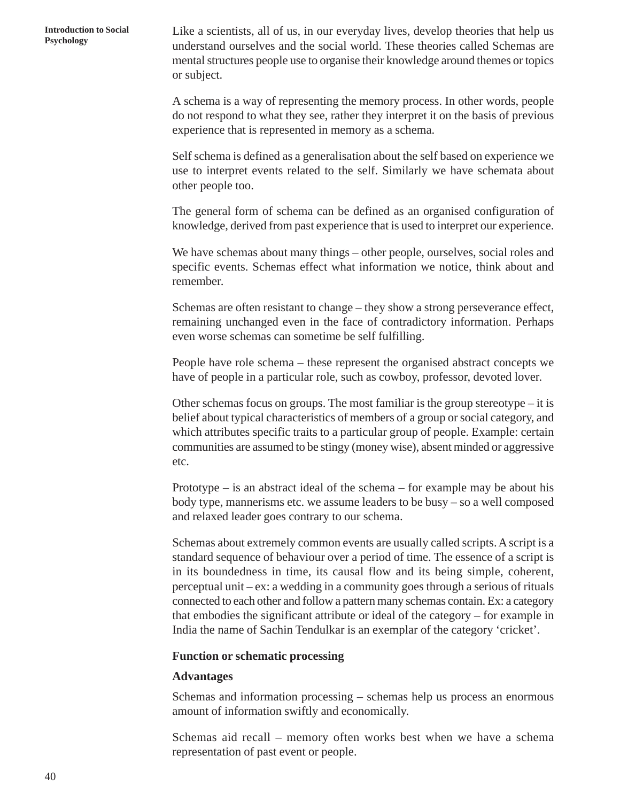**Psychology** Like a scientists, all of us, in our everyday lives, develop theories that help us<br>**Psychology** and the scale would These theories called Schames are understand ourselves and the social world. These theories called Schemas are mental structures people use to organise their knowledge around themes or topics or subject.

> A schema is a way of representing the memory process. In other words, people do not respond to what they see, rather they interpret it on the basis of previous experience that is represented in memory as a schema.

> Self schema is defined as a generalisation about the self based on experience we use to interpret events related to the self. Similarly we have schemata about other people too.

> The general form of schema can be defined as an organised configuration of knowledge, derived from past experience that is used to interpret our experience.

> We have schemas about many things – other people, ourselves, social roles and specific events. Schemas effect what information we notice, think about and remember.

> Schemas are often resistant to change – they show a strong perseverance effect, remaining unchanged even in the face of contradictory information. Perhaps even worse schemas can sometime be self fulfilling.

> People have role schema – these represent the organised abstract concepts we have of people in a particular role, such as cowboy, professor, devoted lover.

> Other schemas focus on groups. The most familiar is the group stereotype  $-$  it is belief about typical characteristics of members of a group or social category, and which attributes specific traits to a particular group of people. Example: certain communities are assumed to be stingy (money wise), absent minded or aggressive etc.

> Prototype – is an abstract ideal of the schema – for example may be about his body type, mannerisms etc. we assume leaders to be busy – so a well composed and relaxed leader goes contrary to our schema.

> Schemas about extremely common events are usually called scripts. A script is a standard sequence of behaviour over a period of time. The essence of a script is in its boundedness in time, its causal flow and its being simple, coherent, perceptual unit – ex: a wedding in a community goes through a serious of rituals connected to each other and follow a pattern many schemas contain. Ex: a category that embodies the significant attribute or ideal of the category – for example in India the name of Sachin Tendulkar is an exemplar of the category 'cricket'.

#### **Function or schematic processing**

#### **Advantages**

Schemas and information processing – schemas help us process an enormous amount of information swiftly and economically.

Schemas aid recall – memory often works best when we have a schema representation of past event or people.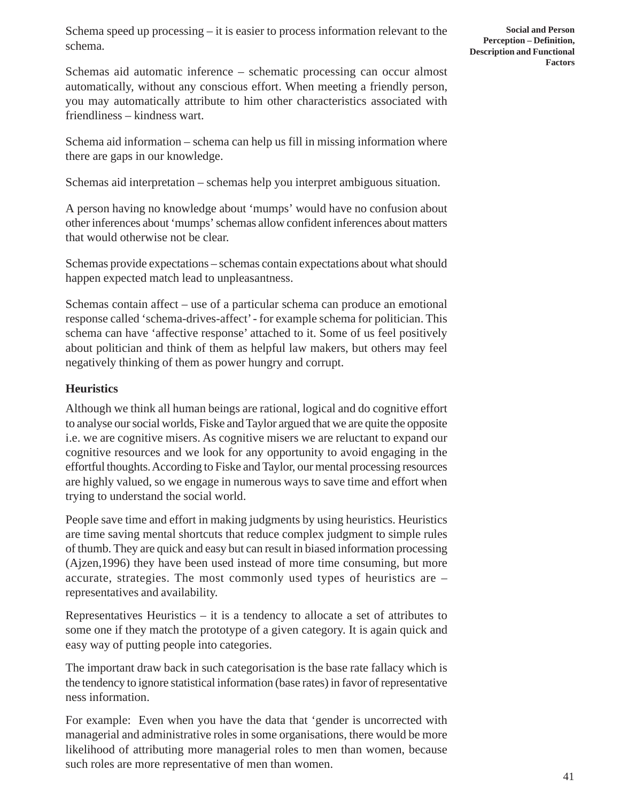Schemas aid automatic inference – schematic processing can occur almost automatically, without any conscious effort. When meeting a friendly person, you may automatically attribute to him other characteristics associated with friendliness – kindness wart.

Schema aid information – schema can help us fill in missing information where there are gaps in our knowledge.

Schemas aid interpretation – schemas help you interpret ambiguous situation.

A person having no knowledge about 'mumps' would have no confusion about other inferences about 'mumps' schemas allow confident inferences about matters that would otherwise not be clear.

Schemas provide expectations – schemas contain expectations about what should happen expected match lead to unpleasantness.

Schemas contain affect – use of a particular schema can produce an emotional response called 'schema-drives-affect' - for example schema for politician. This schema can have 'affective response' attached to it. Some of us feel positively about politician and think of them as helpful law makers, but others may feel negatively thinking of them as power hungry and corrupt.

### **Heuristics**

Although we think all human beings are rational, logical and do cognitive effort to analyse our social worlds, Fiske and Taylor argued that we are quite the opposite i.e. we are cognitive misers. As cognitive misers we are reluctant to expand our cognitive resources and we look for any opportunity to avoid engaging in the effortful thoughts. According to Fiske and Taylor, our mental processing resources are highly valued, so we engage in numerous ways to save time and effort when trying to understand the social world.

People save time and effort in making judgments by using heuristics. Heuristics are time saving mental shortcuts that reduce complex judgment to simple rules of thumb. They are quick and easy but can result in biased information processing (Ajzen,1996) they have been used instead of more time consuming, but more accurate, strategies. The most commonly used types of heuristics are – representatives and availability.

Representatives Heuristics  $-$  it is a tendency to allocate a set of attributes to some one if they match the prototype of a given category. It is again quick and easy way of putting people into categories.

The important draw back in such categorisation is the base rate fallacy which is the tendency to ignore statistical information (base rates) in favor of representative ness information.

For example: Even when you have the data that 'gender is uncorrected with managerial and administrative roles in some organisations, there would be more likelihood of attributing more managerial roles to men than women, because such roles are more representative of men than women.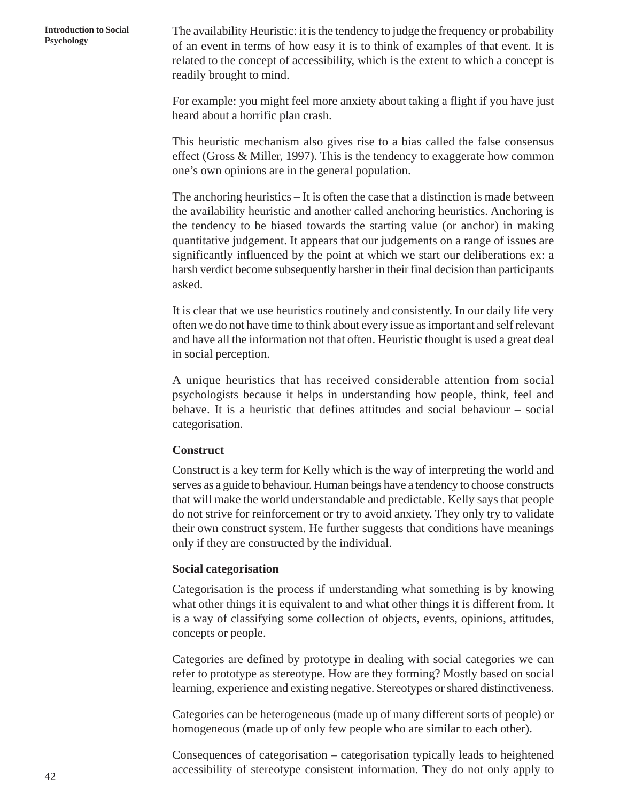**Production to Social** The availability Heuristic: it is the tendency to judge the frequency or probability Psychology<br>Psychology of an avant in tarms of have again is to think of avanuals of that system. It is of an event in terms of how easy it is to think of examples of that event. It is related to the concept of accessibility, which is the extent to which a concept is readily brought to mind.

> For example: you might feel more anxiety about taking a flight if you have just heard about a horrific plan crash.

> This heuristic mechanism also gives rise to a bias called the false consensus effect (Gross & Miller, 1997). This is the tendency to exaggerate how common one's own opinions are in the general population.

> The anchoring heuristics – It is often the case that a distinction is made between the availability heuristic and another called anchoring heuristics. Anchoring is the tendency to be biased towards the starting value (or anchor) in making quantitative judgement. It appears that our judgements on a range of issues are significantly influenced by the point at which we start our deliberations ex: a harsh verdict become subsequently harsher in their final decision than participants asked.

> It is clear that we use heuristics routinely and consistently. In our daily life very often we do not have time to think about every issue as important and self relevant and have all the information not that often. Heuristic thought is used a great deal in social perception.

> A unique heuristics that has received considerable attention from social psychologists because it helps in understanding how people, think, feel and behave. It is a heuristic that defines attitudes and social behaviour – social categorisation.

#### **Construct**

Construct is a key term for Kelly which is the way of interpreting the world and serves as a guide to behaviour. Human beings have a tendency to choose constructs that will make the world understandable and predictable. Kelly says that people do not strive for reinforcement or try to avoid anxiety. They only try to validate their own construct system. He further suggests that conditions have meanings only if they are constructed by the individual.

#### **Social categorisation**

Categorisation is the process if understanding what something is by knowing what other things it is equivalent to and what other things it is different from. It is a way of classifying some collection of objects, events, opinions, attitudes, concepts or people.

Categories are defined by prototype in dealing with social categories we can refer to prototype as stereotype. How are they forming? Mostly based on social learning, experience and existing negative. Stereotypes or shared distinctiveness.

Categories can be heterogeneous (made up of many different sorts of people) or homogeneous (made up of only few people who are similar to each other).

Consequences of categorisation – categorisation typically leads to heightened accessibility of stereotype consistent information. They do not only apply to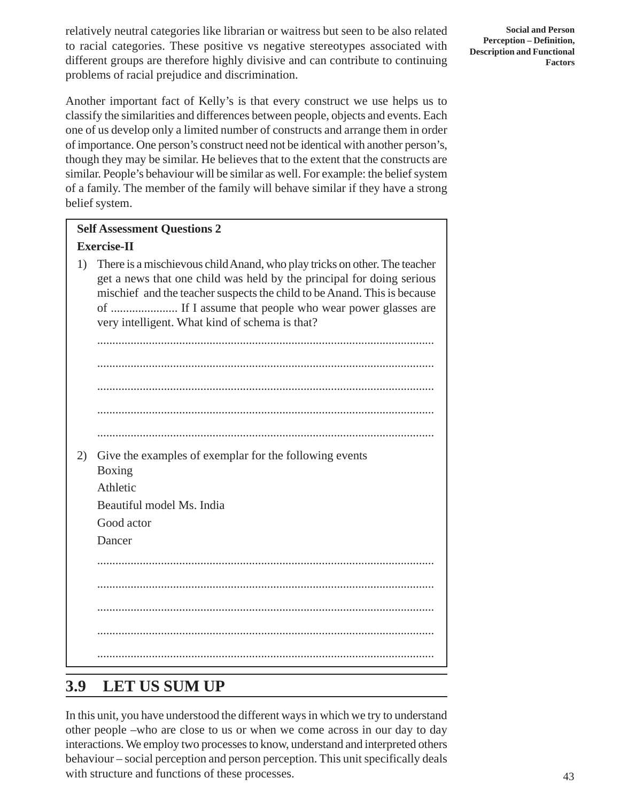relatively neutral categories like librarian or waitress but seen to be also related to racial categories. These positive vs negative stereotypes associated with different groups are therefore highly divisive and can contribute to continuing problems of racial prejudice and discrimination.

**Social and Person Perception – Definition, Description and Functional Factors**

Another important fact of Kelly's is that every construct we use helps us to classify the similarities and differences between people, objects and events. Each one of us develop only a limited number of constructs and arrange them in order of importance. One person's construct need not be identical with another person's, though they may be similar. He believes that to the extent that the constructs are similar. People's behaviour will be similar as well. For example: the belief system of a family. The member of the family will behave similar if they have a strong belief system.

### **Self Assessment Questions 2 Exercise-II**

1) There is a mischievous child Anand, who play tricks on other. The teacher get a news that one child was held by the principal for doing serious mischief and the teacher suspects the child to be Anand. This is because of ...................... If I assume that people who wear power glasses are very intelligent. What kind of schema is that?

............................................................................................................... ............................................................................................................... ............................................................................................................... ............................................................................................................... ............................................................................................................... 2) Give the examples of exemplar for the following events Boxing Athletic Beautiful model Ms. India Good actor Dancer ............................................................................................................... ............................................................................................................... ............................................................................................................... ............................................................................................................... ...............................................................................................................

# **3.9 LET US SUM UP**

In this unit, you have understood the different ways in which we try to understand other people –who are close to us or when we come across in our day to day interactions. We employ two processes to know, understand and interpreted others behaviour – social perception and person perception. This unit specifically deals with structure and functions of these processes.